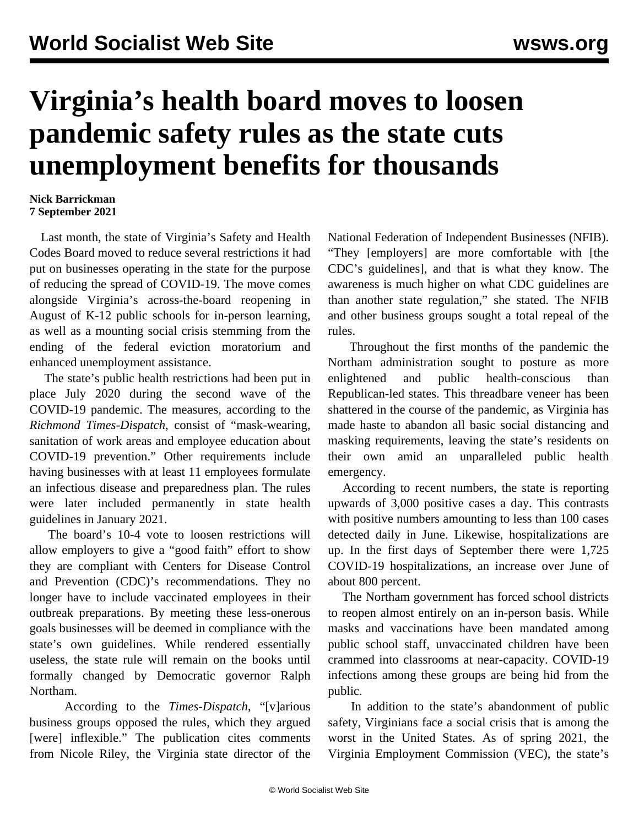## **Virginia's health board moves to loosen pandemic safety rules as the state cuts unemployment benefits for thousands**

## **Nick Barrickman 7 September 2021**

 Last month, the state of Virginia's Safety and Health Codes Board moved to reduce several restrictions it had put on businesses operating in the state for the purpose of reducing the spread of COVID-19. The move comes alongside Virginia's across-the-board reopening in August of K-12 public schools for in-person learning, as well as a mounting social crisis stemming from the ending of the federal eviction moratorium and enhanced unemployment assistance.

 The state's public health restrictions had been put in place July 2020 during the second wave of the COVID-19 pandemic. The measures, according to the *Richmond Times-Dispatch*, consist of "mask-wearing, sanitation of work areas and employee education about COVID-19 prevention." Other requirements include having businesses with at least 11 employees formulate an infectious disease and preparedness plan. The rules were later included permanently in state health guidelines in January 2021.

 The board's 10-4 vote to loosen restrictions will allow employers to give a "good faith" effort to show they are compliant with Centers for Disease Control and Prevention (CDC)'s recommendations. They no longer have to include vaccinated employees in their outbreak preparations. By meeting these less-onerous goals businesses will be deemed in compliance with the state's own guidelines. While rendered essentially useless, the state rule will remain on the books until formally changed by Democratic governor Ralph Northam.

 According to the *Times-Dispatch*, "[v]arious business groups opposed the rules, which they argued [were] inflexible." The publication cites comments from Nicole Riley, the Virginia state director of the National Federation of Independent Businesses (NFIB). "They [employers] are more comfortable with [the CDC's guidelines], and that is what they know. The awareness is much higher on what CDC guidelines are than another state regulation," she stated. The NFIB and other business groups sought a total repeal of the rules.

 Throughout the first months of the pandemic the Northam administration sought to posture as more enlightened and public health-conscious than Republican-led states. This threadbare veneer has been [shattered](/en/articles/2021/02/06/virg-f06.html) in the course of the pandemic, as Virginia has made haste to abandon all basic social distancing and masking requirements, leaving the state's residents on their own amid an unparalleled public health emergency.

 According to recent numbers, the state is reporting upwards of 3,000 positive cases a day. This contrasts with positive numbers amounting to less than 100 cases detected daily in June. Likewise, hospitalizations are up. In the first days of September there were 1,725 COVID-19 hospitalizations, an increase over June of about 800 percent.

 The Northam government has forced school districts to reopen [almost entirely](/en/articles/2021/09/05/virg-s05.html) on an in-person basis. While masks and vaccinations have been mandated among public school staff, unvaccinated children have been crammed into classrooms at near-capacity. COVID-19 infections among these groups are being hid from the public.

 In addition to the state's abandonment of public safety, Virginians face a social crisis that is among the worst in the United States. As of spring 2021, the Virginia Employment Commission (VEC), the state's